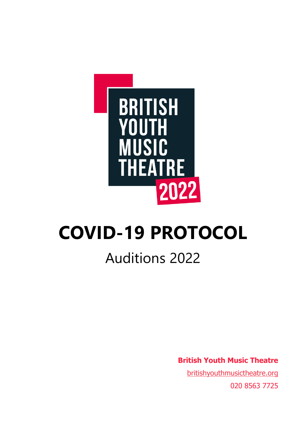

## **COVID-19 PROTOCOL**

## Auditions 2022

**British Youth Music Theatre**

[britishyouthmusictheatre.org](file://///ymt-sql2008/data$/Company/8.%20Pastoral/Covid-19/britishyouthmusictheatre.org) 020 8563 7725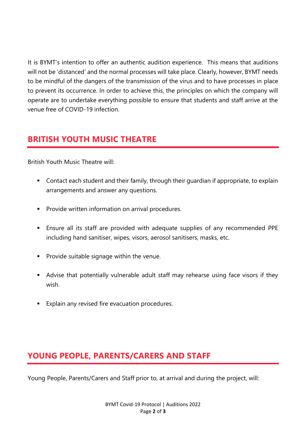It is BYMT's intention to offer an authentic audition experience. This means that auditions will not be 'distanced' and the normal processes will take place. Clearly, however, BYMT needs to be mindful of the dangers of the transmission of the virus and to have processes in place to prevent its occurrence. In order to achieve this, the principles on which the company will operate are to undertake everything possible to ensure that students and staff arrive at the venue free of COVID-19 infection.

## **BRITISH YOUTH MUSIC THEATRE**

British Youth Music Theatre will:

- Contact each student and their family, through their guardian if appropriate, to explain arrangements and answer any questions.
- Provide written information on arrival procedures.
- Ensure all its staff are provided with adequate supplies of any recommended PPE including hand sanitiser, wipes, visors, aerosol sanitisers, masks, etc.
- Provide suitable signage within the venue.
- Advise that potentially vulnerable adult staff may rehearse using face visors if they wish.
- Explain any revised fire evacuation procedures.

## **YOUNG PEOPLE, PARENTS/CARERS AND STAFF**

Young People, Parents/Carers and Staff prior to, at arrival and during the project, will: